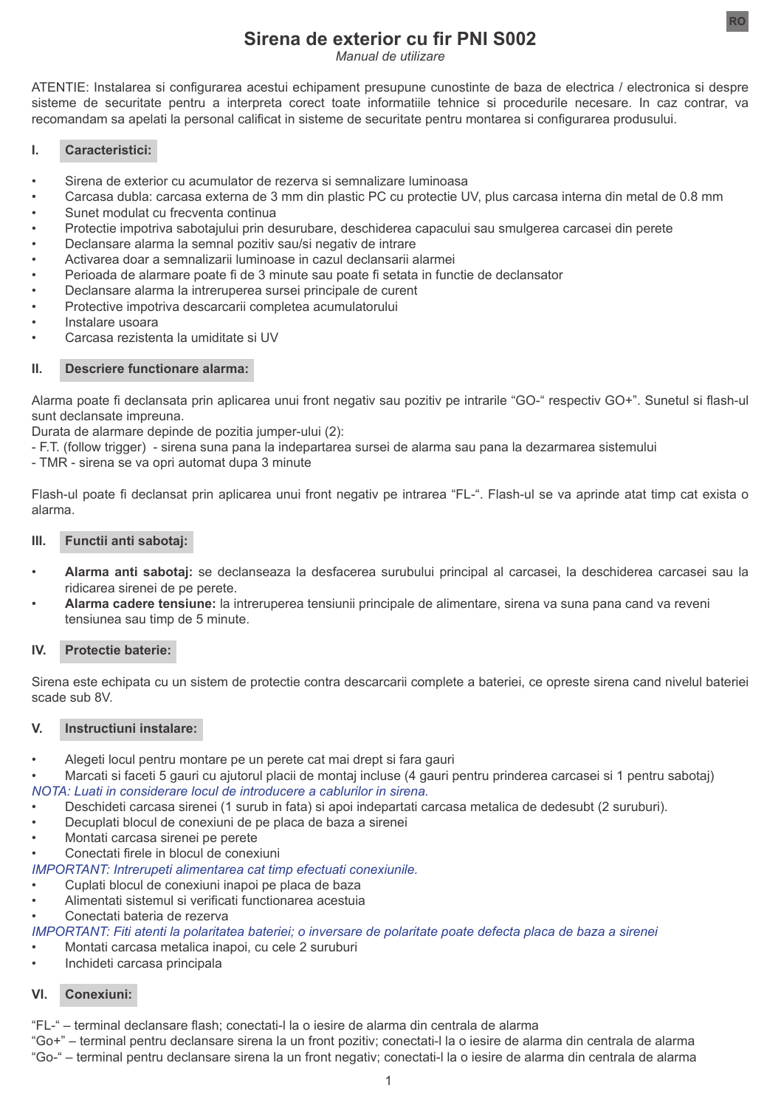# **Sirena de exterior cu fir PNI S002**

**RO**

*Manual de utilizare*

ATENTIE: Instalarea si configurarea acestui echipament presupune cunostinte de baza de electrica / electronica si despre sisteme de securitate pentru a interpreta corect toate informatiile tehnice si procedurile necesare. In caz contrar, va recomandam sa apelati la personal calificat in sisteme de securitate pentru montarea si configurarea produsului.

#### **I. Caracteristici:**

- Sirena de exterior cu acumulator de rezerva si semnalizare luminoasa
- Carcasa dubla: carcasa externa de 3 mm din plastic PC cu protectie UV, plus carcasa interna din metal de 0.8 mm
- Sunet modulat cu frecventa continua
- Protectie impotriva sabotajului prin desurubare, deschiderea capacului sau smulgerea carcasei din perete
- Declansare alarma la semnal pozitiv sau/si negativ de intrare
- Activarea doar a semnalizarii luminoase in cazul declansarii alarmei
- Perioada de alarmare poate fi de 3 minute sau poate fi setata in functie de declansator
- Declansare alarma la intreruperea sursei principale de curent
- Protective impotriva descarcarii completea acumulatorului
- Instalare usoara
- Carcasa rezistenta la umiditate si UV

## **II. Descriere functionare alarma:**

Alarma poate fi declansata prin aplicarea unui front negativ sau pozitiv pe intrarile "GO-" respectiv GO+". Sunetul si flash-ul sunt declansate impreuna.

Durata de alarmare depinde de pozitia jumper-ului (2):

- F.T. (follow trigger) sirena suna pana la indepartarea sursei de alarma sau pana la dezarmarea sistemului
- TMR sirena se va opri automat dupa 3 minute

Flash-ul poate fi declansat prin aplicarea unui front negativ pe intrarea "FL-". Flash-ul se va aprinde atat timp cat exista o alarma.

## **III. Functii anti sabotaj:**

- **Alarma anti sabotaj:** se declanseaza la desfacerea surubului principal al carcasei, la deschiderea carcasei sau la ridicarea sirenei de pe perete.
- **Alarma cadere tensiune:** la intreruperea tensiunii principale de alimentare, sirena va suna pana cand va reveni tensiunea sau timp de 5 minute.

#### **IV. Protectie baterie:**

Sirena este echipata cu un sistem de protectie contra descarcarii complete a bateriei, ce opreste sirena cand nivelul bateriei scade sub 8V.

#### **V. Instructiuni instalare:**

- Alegeti locul pentru montare pe un perete cat mai drept si fara gauri
- Marcati si faceti 5 gauri cu ajutorul placii de montaj incluse (4 gauri pentru prinderea carcasei si 1 pentru sabotaj) *NOTA: Luati in considerare locul de introducere a cablurilor in sirena.*
- Deschideti carcasa sirenei (1 surub in fata) si apoi indepartati carcasa metalica de dedesubt (2 suruburi).
- Decuplati blocul de conexiuni de pe placa de baza a sirenei
- Montati carcasa sirenei pe perete
- Conectati firele in blocul de conexiuni

# *IMPORTANT: Intrerupeti alimentarea cat timp efectuati conexiunile.*

- Cuplati blocul de conexiuni inapoi pe placa de baza
- Alimentati sistemul si verificati functionarea acestuia
- Conectati bateria de rezerva

#### *IMPORTANT: Fiti atenti la polaritatea bateriei; o inversare de polaritate poate defecta placa de baza a sirenei*

- Montati carcasa metalica inapoi, cu cele 2 suruburi
- Inchideti carcasa principala

# **VI. Conexiuni:**

"FL-" – terminal declansare flash; conectati-l la o iesire de alarma din centrala de alarma

"Go+" – terminal pentru declansare sirena la un front pozitiv; conectati-l la o iesire de alarma din centrala de alarma

"Go-" – terminal pentru declansare sirena la un front negativ; conectati-l la o iesire de alarma din centrala de alarma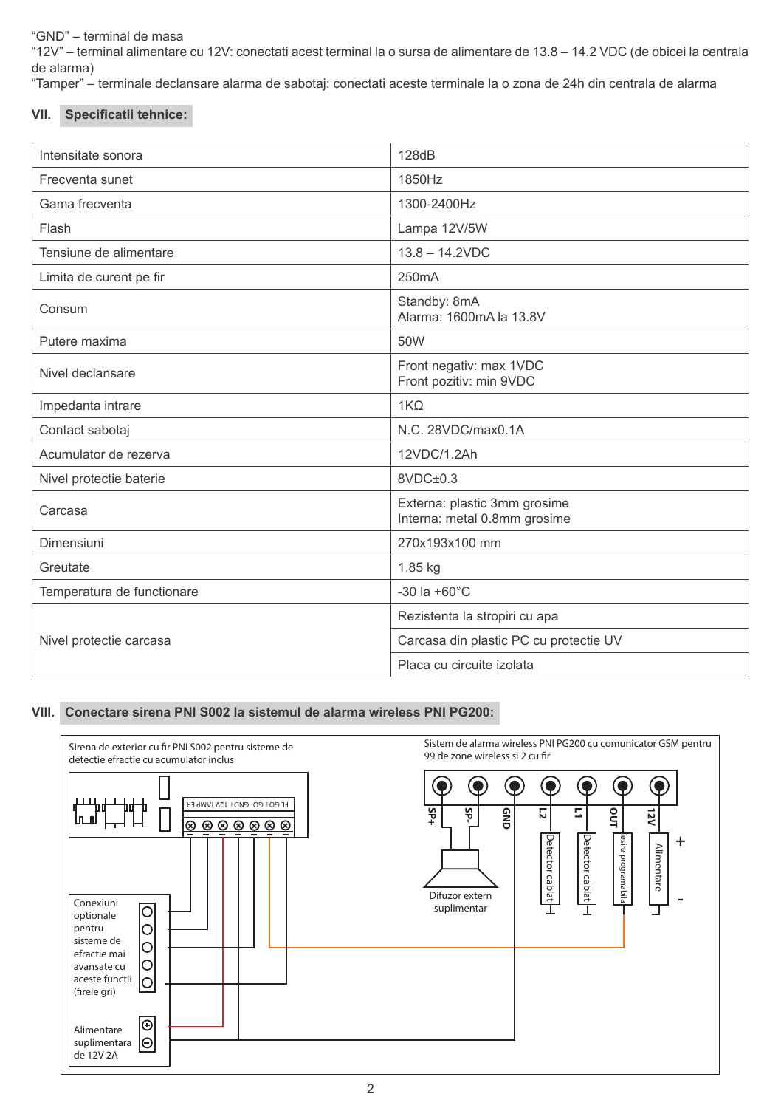"GND" – terminal de masa

"12V" – terminal alimentare cu 12V: conectati acest terminal la o sursa de alimentare de 13.8 – 14.2 VDC (de obicei la centrala de alarma)

"Tamper" – terminale declansare alarma de sabotaj: conectati aceste terminale la o zona de 24h din centrala de alarma

# **VII. Specificatii tehnice:**

| Intensitate sonora         | 128dB                                                        |
|----------------------------|--------------------------------------------------------------|
| Frecventa sunet            | 1850Hz                                                       |
| Gama frecventa             | 1300-2400Hz                                                  |
| Flash                      | Lampa 12V/5W                                                 |
| Tensiune de alimentare     | $13.8 - 14.2VDC$                                             |
| Limita de curent pe fir    | 250 <sub>m</sub> A                                           |
| Consum                     | Standby: 8mA<br>Alarma: 1600mA la 13.8V                      |
| Putere maxima              | 50W                                                          |
| Nivel declansare           | Front negativ: max 1VDC<br>Front pozitiv: min 9VDC           |
| Impedanta intrare          | 1K <sub>0</sub>                                              |
| Contact sabotaj            | N.C. 28VDC/max0.1A                                           |
| Acumulator de rezerva      | 12VDC/1.2Ah                                                  |
| Nivel protectie baterie    | 8VDC±0.3                                                     |
| Carcasa                    | Externa: plastic 3mm grosime<br>Interna: metal 0.8mm grosime |
| Dimensiuni                 | 270x193x100 mm                                               |
| Greutate                   | 1.85 kg                                                      |
| Temperatura de functionare | $-30$ la $+60^{\circ}$ C                                     |
| Nivel protectie carcasa    | Rezistenta la stropiri cu apa                                |
|                            | Carcasa din plastic PC cu protectie UV                       |
|                            | Placa cu circuite izolata                                    |

#### **VIII. Conectare sirena PNI S002 la sistemul de alarma wireless PNI PG200:**

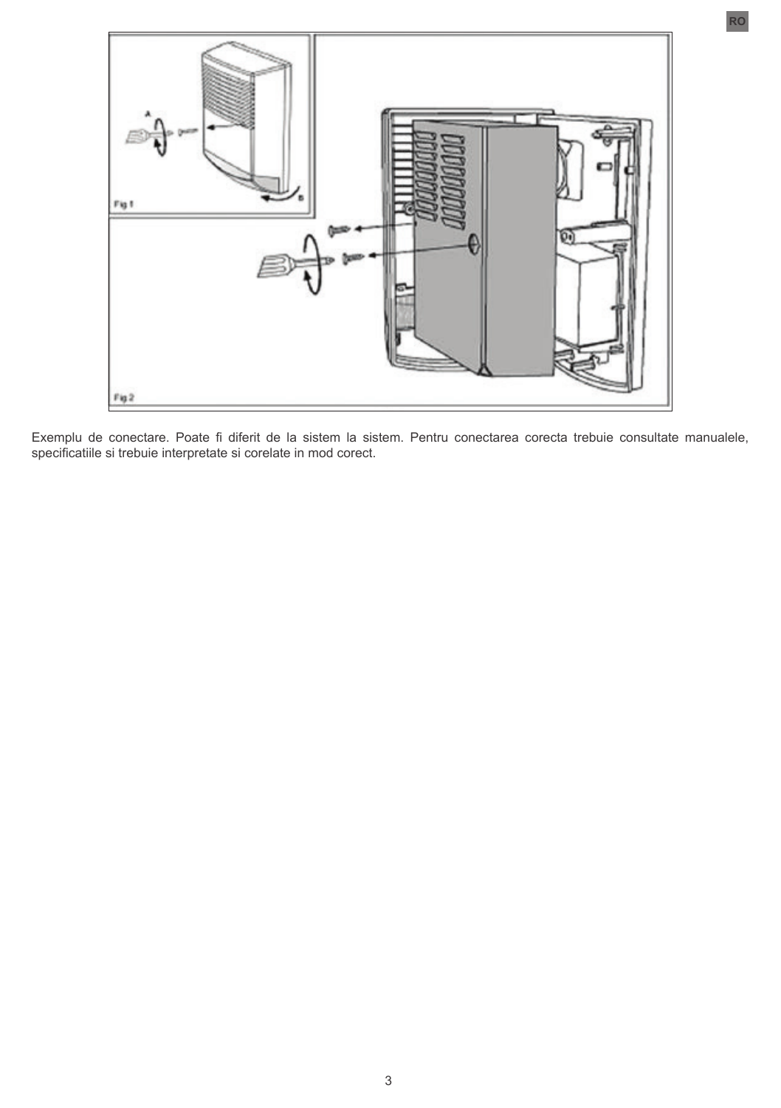

**RO**

Exemplu de conectare. Poate fi diferit de la sistem la sistem. Pentru conectarea corecta trebuie consultate manualele, specificatiile si trebuie interpretate si corelate in mod corect.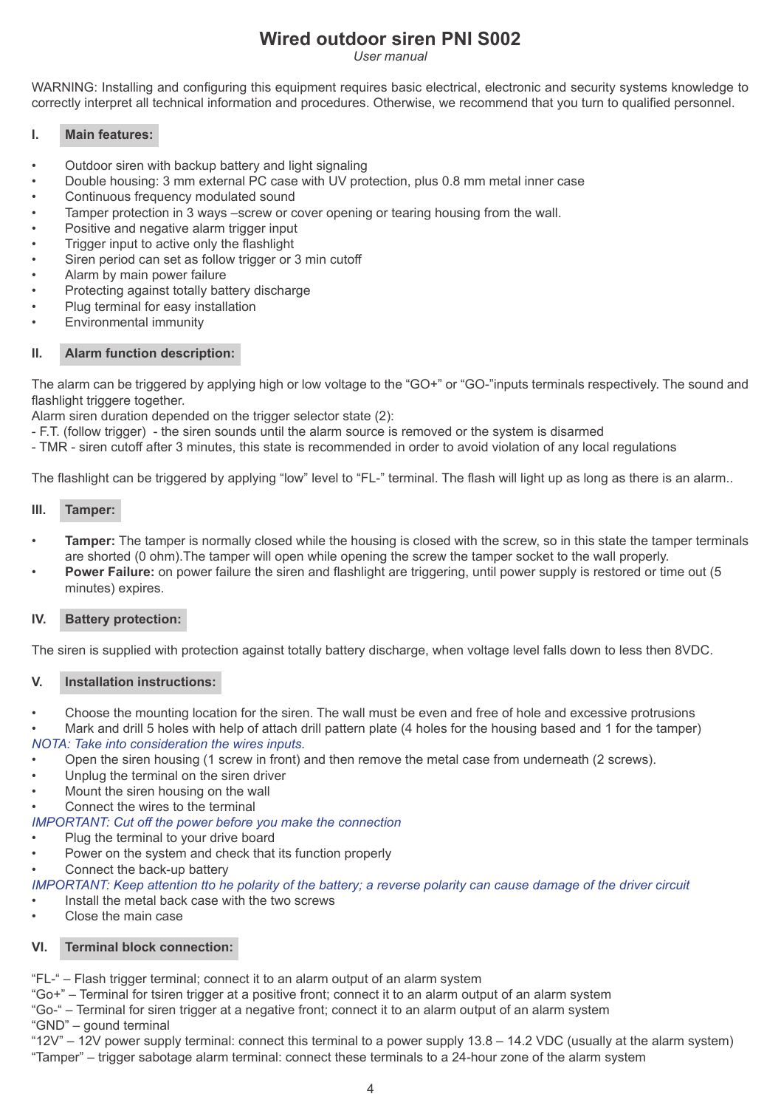# **Wired outdoor siren PNI S002**

*User manual*

WARNING: Installing and configuring this equipment requires basic electrical, electronic and security systems knowledge to correctly interpret all technical information and procedures. Otherwise, we recommend that you turn to qualified personnel.

## **I. Main features:**

- Outdoor siren with backup battery and light signaling
- Double housing: 3 mm external PC case with UV protection, plus 0.8 mm metal inner case
- Continuous frequency modulated sound
- Tamper protection in 3 ways –screw or cover opening or tearing housing from the wall.
- Positive and negative alarm trigger input
- Trigger input to active only the flashlight
- Siren period can set as follow trigger or 3 min cutoff
- Alarm by main power failure
- Protecting against totally battery discharge
- Plug terminal for easy installation
- Environmental immunity

# **II. Alarm function description:**

The alarm can be triggered by applying high or low voltage to the "GO+" or "GO-"inputs terminals respectively. The sound and flashlight triggere together.

Alarm siren duration depended on the trigger selector state (2):

- F.T. (follow trigger) - the siren sounds until the alarm source is removed or the system is disarmed

- TMR - siren cutoff after 3 minutes, this state is recommended in order to avoid violation of any local regulations

The flashlight can be triggered by applying "low" level to "FL-" terminal. The flash will light up as long as there is an alarm..

# **III. Tamper:**

- **Tamper:** The tamper is normally closed while the housing is closed with the screw, so in this state the tamper terminals are shorted (0 ohm).The tamper will open while opening the screw the tamper socket to the wall properly.
- **Power Failure:** on power failure the siren and flashlight are triggering, until power supply is restored or time out (5 minutes) expires.

#### **IV. Battery protection:**

The siren is supplied with protection against totally battery discharge, when voltage level falls down to less then 8VDC.

#### **V. Installation instructions:**

- Choose the mounting location for the siren. The wall must be even and free of hole and excessive protrusions
- Mark and drill 5 holes with help of attach drill pattern plate (4 holes for the housing based and 1 for the tamper)

# *NOTA: Take into consideration the wires inputs.*

- Open the siren housing (1 screw in front) and then remove the metal case from underneath (2 screws).
- Unplug the terminal on the siren driver
- Mount the siren housing on the wall
- Connect the wires to the terminal

#### *IMPORTANT: Cut off the power before you make the connection*

- Plug the terminal to your drive board
- Power on the system and check that its function properly
- Connect the back-up battery

## *IMPORTANT: Keep attention tto he polarity of the battery; a reverse polarity can cause damage of the driver circuit*

- Install the metal back case with the two screws
- Close the main case

## **VI. Terminal block connection:**

"FL-" – Flash trigger terminal; connect it to an alarm output of an alarm system

"Go+" – Terminal for tsiren trigger at a positive front; connect it to an alarm output of an alarm system

"Go-" – Terminal for siren trigger at a negative front; connect it to an alarm output of an alarm system

"GND" – gound terminal

"12V" – 12V power supply terminal: connect this terminal to a power supply 13.8 – 14.2 VDC (usually at the alarm system) "Tamper" – trigger sabotage alarm terminal: connect these terminals to a 24-hour zone of the alarm system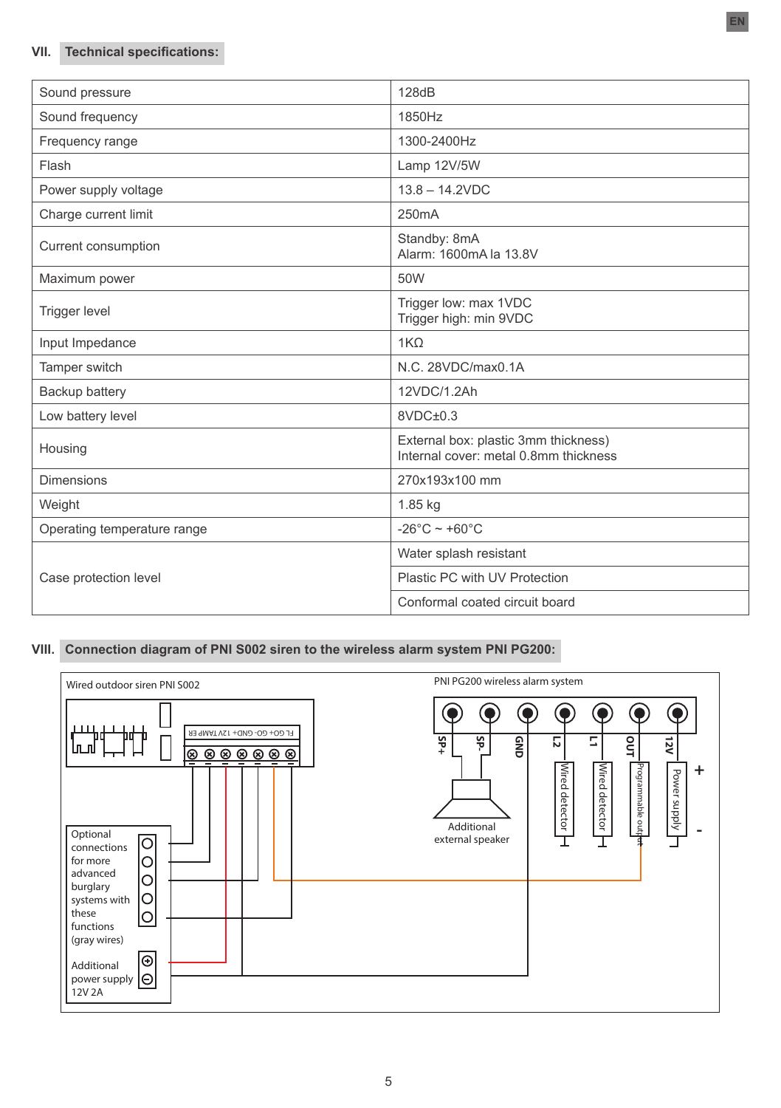| Sound pressure              | 128dB                                                                         |
|-----------------------------|-------------------------------------------------------------------------------|
| Sound frequency             | 1850Hz                                                                        |
| Frequency range             | 1300-2400Hz                                                                   |
| Flash                       | Lamp 12V/5W                                                                   |
| Power supply voltage        | $13.8 - 14.2VDC$                                                              |
| Charge current limit        | 250 <sub>m</sub> A                                                            |
| Current consumption         | Standby: 8mA<br>Alarm: 1600mA la 13.8V                                        |
| Maximum power               | 50W                                                                           |
| <b>Trigger level</b>        | Trigger low: max 1VDC<br>Trigger high: min 9VDC                               |
| Input Impedance             | 1K <sub>0</sub>                                                               |
| Tamper switch               | N.C. 28VDC/max0.1A                                                            |
| Backup battery              | 12VDC/1.2Ah                                                                   |
| Low battery level           | 8VDC±0.3                                                                      |
| Housing                     | External box: plastic 3mm thickness)<br>Internal cover: metal 0.8mm thickness |
| Dimensions                  | 270x193x100 mm                                                                |
| Weight                      | 1.85 kg                                                                       |
| Operating temperature range | $-26^{\circ}$ C ~ $+60^{\circ}$ C                                             |
| Case protection level       | Water splash resistant                                                        |
|                             | Plastic PC with UV Protection                                                 |
|                             | Conformal coated circuit board                                                |

# **VIII. Connection diagram of PNI S002 siren to the wireless alarm system PNI PG200:**

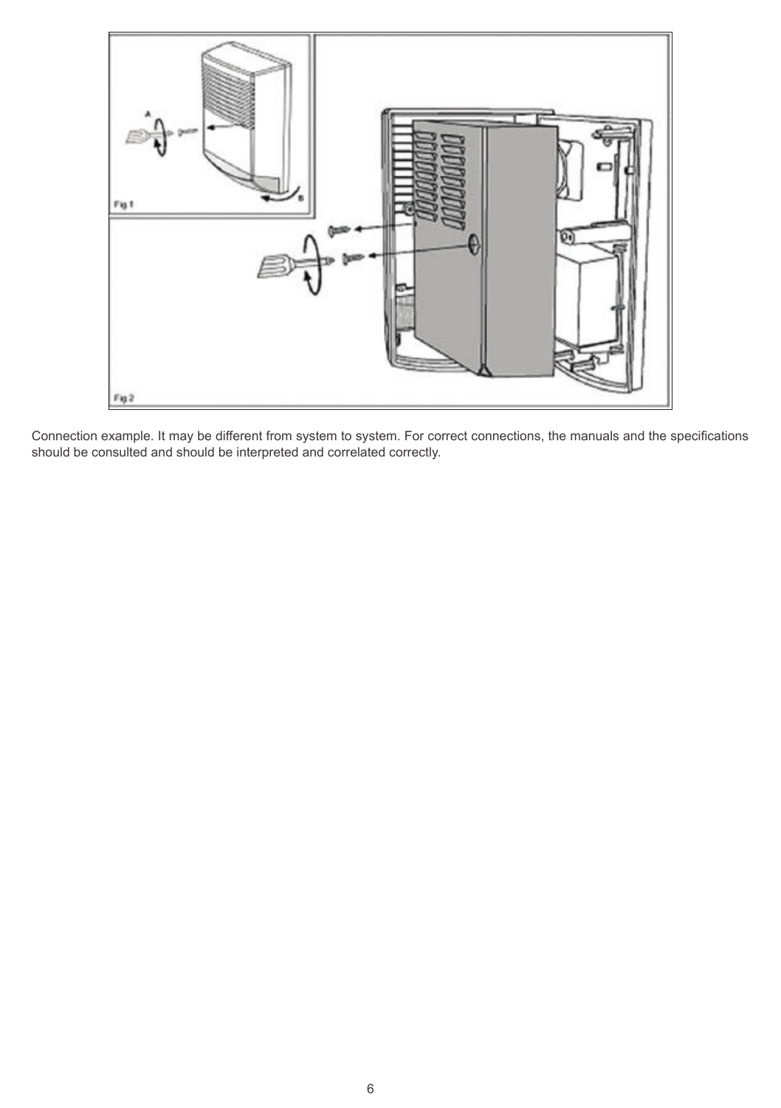

Connection example. It may be different from system to system. For correct connections, the manuals and the specifications should be consulted and should be interpreted and correlated correctly.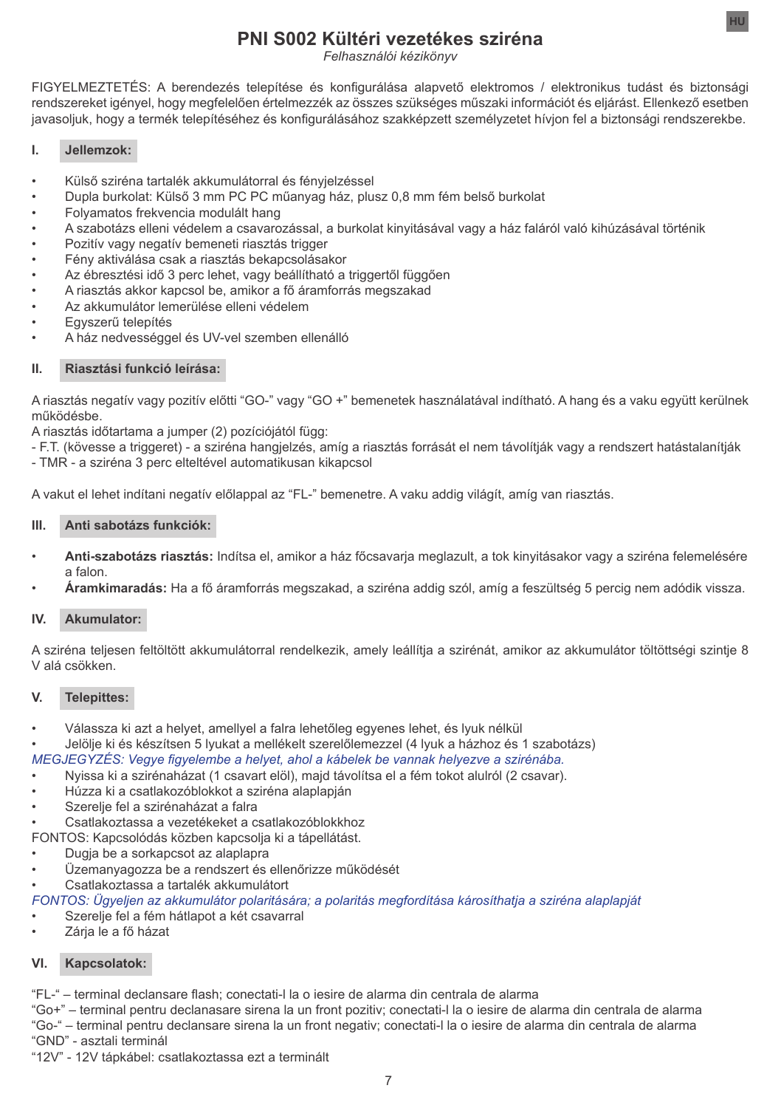# **PNI S002 Kültéri vezetékes sziréna**

**HU**

*Felhasználói kézikönyv*

FIGYELMEZTETÉS: A berendezés telepítése és konfigurálása alapvető elektromos / elektronikus tudást és biztonsági rendszereket igényel, hogy megfelelően értelmezzék az összes szükséges műszaki információt és eljárást. Ellenkező esetben javasoljuk, hogy a termék telepítéséhez és konfigurálásához szakképzett személyzetet hívjon fel a biztonsági rendszerekbe.

# **I. Jellemzok:**

- Külső sziréna tartalék akkumulátorral és fényjelzéssel
- Dupla burkolat: Külső 3 mm PC PC műanyag ház, plusz 0,8 mm fém belső burkolat
- Folyamatos frekvencia modulált hang
- A szabotázs elleni védelem a csavarozással, a burkolat kinyitásával vagy a ház faláról való kihúzásával történik
- Pozitív vagy negatív bemeneti riasztás trigger
- Fény aktiválása csak a riasztás bekapcsolásakor
- Az ébresztési idő 3 perc lehet, vagy beállítható a triggertől függően
- A riasztás akkor kapcsol be, amikor a fő áramforrás megszakad
- Az akkumulátor lemerülése elleni védelem
- Egyszerű telepítés
- A ház nedvességgel és UV-vel szemben ellenálló

#### **II. Riasztási funkció leírása:**

A riasztás negatív vagy pozitív előtti "GO-" vagy "GO +" bemenetek használatával indítható. A hang és a vaku együtt kerülnek működésbe.

A riasztás időtartama a jumper (2) pozíciójától függ:

- F.T. (kövesse a triggeret) - a sziréna hangjelzés, amíg a riasztás forrását el nem távolítják vagy a rendszert hatástalanítják

- TMR - a sziréna 3 perc elteltével automatikusan kikapcsol

A vakut el lehet indítani negatív előlappal az "FL-" bemenetre. A vaku addig világít, amíg van riasztás.

#### **III. Anti sabotázs funkciók:**

- **Anti-szabotázs riasztás:** Indítsa el, amikor a ház főcsavarja meglazult, a tok kinyitásakor vagy a sziréna felemelésére a falon.
- **Áramkimaradás:** Ha a fő áramforrás megszakad, a sziréna addig szól, amíg a feszültség 5 percig nem adódik vissza.

#### **IV. Akumulator:**

A sziréna teljesen feltöltött akkumulátorral rendelkezik, amely leállítja a szirénát, amikor az akkumulátor töltöttségi szintje 8 V alá csökken.

#### **V. Telepittes:**

- Válassza ki azt a helyet, amellyel a falra lehetőleg egyenes lehet, és lyuk nélkül
- Jelölje ki és készítsen 5 lyukat a mellékelt szerelőlemezzel (4 lyuk a házhoz és 1 szabotázs)

*MEGJEGYZÉS: Vegye figyelembe a helyet, ahol a kábelek be vannak helyezve a szirénába.*

- Nyissa ki a szirénaházat (1 csavart elöl), majd távolítsa el a fém tokot alulról (2 csavar).
- Húzza ki a csatlakozóblokkot a sziréna alaplapján
- Szerelje fel a szirénaházat a falra
- Csatlakoztassa a vezetékeket a csatlakozóblokkhoz

FONTOS: Kapcsolódás közben kapcsolja ki a tápellátást.

- Dugja be a sorkapcsot az alaplapra
- Üzemanyagozza be a rendszert és ellenőrizze működését
- Csatlakoztassa a tartalék akkumulátort

*FONTOS: Ügyeljen az akkumulátor polaritására; a polaritás megfordítása károsíthatja a sziréna alaplapját*

- Szerelje fel a fém hátlapot a két csavarral
- Zárja le a fő házat

#### **VI. Kapcsolatok:**

"FL-" – terminal declansare flash; conectati-l la o iesire de alarma din centrala de alarma

"Go+" – terminal pentru declanasare sirena la un front pozitiv; conectati-l la o iesire de alarma din centrala de alarma "Go-" – terminal pentru declansare sirena la un front negativ; conectati-l la o iesire de alarma din centrala de alarma

"GND" - asztali terminál

"12V" - 12V tápkábel: csatlakoztassa ezt a terminált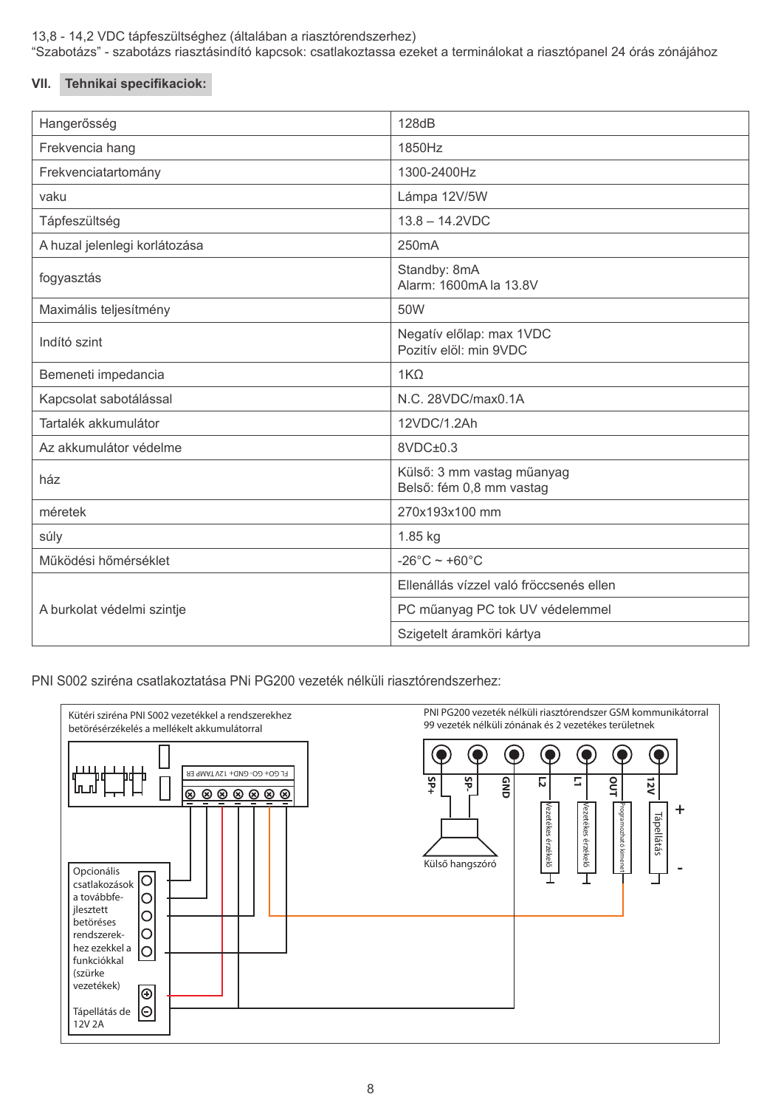# 13,8 - 14,2 VDC tápfeszültséghez (általában a riasztórendszerhez)

"Szabotázs" - szabotázs riasztásindító kapcsok: csatlakoztassa ezeket a terminálokat a riasztópanel 24 órás zónájához

# **VII. Tehnikai specifikaciok:**

| Hangerősség                   | 128dB                                                  |
|-------------------------------|--------------------------------------------------------|
| Frekvencia hang               | 1850Hz                                                 |
| Frekvenciatartomány           | 1300-2400Hz                                            |
| vaku                          | Lámpa 12V/5W                                           |
| Tápfeszültség                 | $13.8 - 14.2VDC$                                       |
| A huzal jelenlegi korlátozása | 250 <sub>m</sub> A                                     |
| fogyasztás                    | Standby: 8mA<br>Alarm: 1600mA la 13.8V                 |
| Maximális teljesítmény        | 50W                                                    |
| Indító szint                  | Negatív előlap: max 1VDC<br>Pozitív elöl: min 9VDC     |
| Bemeneti impedancia           | 1K <sub>O</sub>                                        |
| Kapcsolat sabotálással        | N.C. 28VDC/max0.1A                                     |
| Tartalék akkumulátor          | 12VDC/1.2Ah                                            |
| Az akkumulátor védelme        | 8VDC±0.3                                               |
| ház                           | Külső: 3 mm vastag műanyag<br>Belső: fém 0,8 mm vastag |
| méretek                       | 270x193x100 mm                                         |
| súly                          | 1.85 kg                                                |
| Működési hőmérséklet          | $-26^{\circ}$ C ~ $+60^{\circ}$ C                      |
| A burkolat védelmi szintje    | Ellenállás vízzel való fröccsenés ellen                |
|                               | PC műanyag PC tok UV védelemmel                        |
|                               | Szigetelt áramköri kártya                              |

PNI S002 sziréna csatlakoztatása PNi PG200 vezeték nélküli riasztórendszerhez:

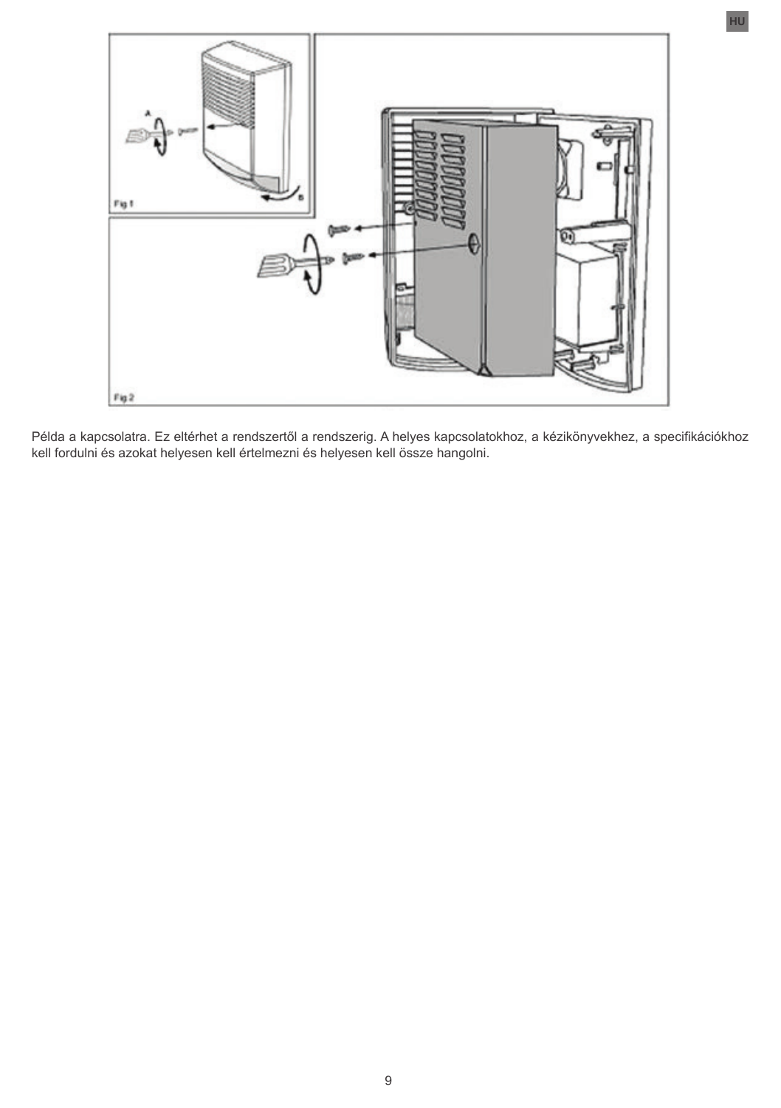

**HU**

Példa a kapcsolatra. Ez eltérhet a rendszertől a rendszerig. A helyes kapcsolatokhoz, a kézikönyvekhez, a specifikációkhoz kell fordulni és azokat helyesen kell értelmezni és helyesen kell össze hangolni.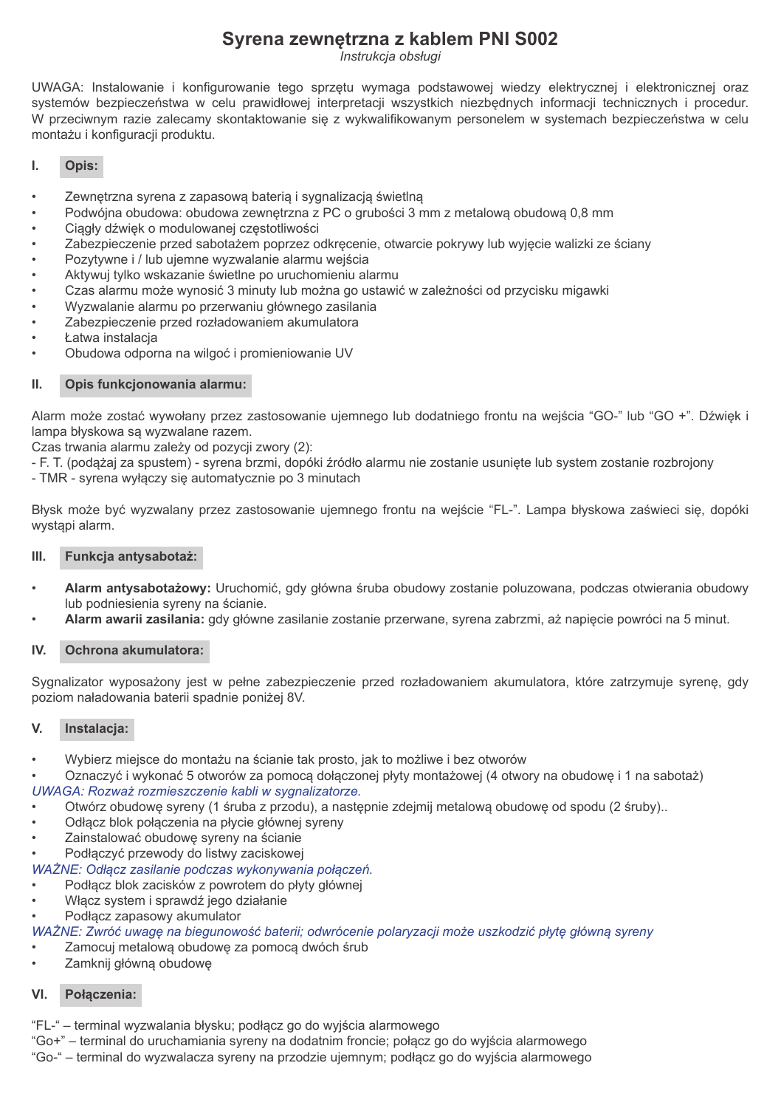# **Syrena zewnętrzna z kablem PNI S002**

*Instrukcja obsługi*

UWAGA: Instalowanie i konfigurowanie tego sprzętu wymaga podstawowej wiedzy elektrycznej i elektronicznej oraz systemów bezpieczeństwa w celu prawidłowej interpretacji wszystkich niezbędnych informacji technicznych i procedur. W przeciwnym razie zalecamy skontaktowanie się z wykwalifikowanym personelem w systemach bezpieczeństwa w celu montażu i konfiguracji produktu.

## **I. Opis:**

- Zewnętrzna syrena z zapasową baterią i sygnalizacją świetlną
- Podwójna obudowa: obudowa zewnętrzna z PC o grubości 3 mm z metalową obudową 0,8 mm
- Ciągły dźwięk o modulowanej częstotliwości
- Zabezpieczenie przed sabotażem poprzez odkręcenie, otwarcie pokrywy lub wyjęcie walizki ze ściany
- Pozytywne i / lub ujemne wyzwalanie alarmu wejścia
- Aktywuj tylko wskazanie świetlne po uruchomieniu alarmu
- Czas alarmu może wynosić 3 minuty lub można go ustawić w zależności od przycisku migawki
- Wyzwalanie alarmu po przerwaniu głównego zasilania
- Zabezpieczenie przed rozładowaniem akumulatora
- Łatwa instalacja
- Obudowa odporna na wilgoć i promieniowanie UV

## **II. Opis funkcjonowania alarmu:**

Alarm może zostać wywołany przez zastosowanie ujemnego lub dodatniego frontu na wejścia "GO-" lub "GO +". Dźwięk i lampa błyskowa są wyzwalane razem.

Czas trwania alarmu zależy od pozycji zwory (2):

- F. T. (podążaj za spustem) - syrena brzmi, dopóki źródło alarmu nie zostanie usunięte lub system zostanie rozbrojony

- TMR - syrena wyłączy się automatycznie po 3 minutach

Błysk może być wyzwalany przez zastosowanie ujemnego frontu na wejście "FL-". Lampa błyskowa zaświeci się, dopóki wystąpi alarm.

#### **III. Funkcja antysabotaż:**

- **Alarm antysabotażowy:** Uruchomić, gdy główna śruba obudowy zostanie poluzowana, podczas otwierania obudowy lub podniesienia syreny na ścianie.
- **Alarm awarii zasilania:** gdy główne zasilanie zostanie przerwane, syrena zabrzmi, aż napięcie powróci na 5 minut.

#### **IV. Ochrona akumulatora:**

Sygnalizator wyposażony jest w pełne zabezpieczenie przed rozładowaniem akumulatora, które zatrzymuje syrenę, gdy poziom naładowania baterii spadnie poniżej 8V.

#### **V. Instalacja:**

- Wybierz miejsce do montażu na ścianie tak prosto, jak to możliwe i bez otworów
- Oznaczyć i wykonać 5 otworów za pomocą dołączonej płyty montażowej (4 otwory na obudowę i 1 na sabotaż) *UWAGA: Rozważ rozmieszczenie kabli w sygnalizatorze.*
- Otwórz obudowę syreny (1 śruba z przodu), a następnie zdejmij metalową obudowę od spodu (2 śruby)..
- Odłącz blok połączenia na płycie głównej syreny
- Zainstalować obudowę syreny na ścianie
- Podłączyć przewody do listwy zaciskowej

# *WAŻNE: Odłącz zasilanie podczas wykonywania połączeń.*

- Podłącz blok zacisków z powrotem do płyty głównej
- Włącz system i sprawdź jego działanie
- Podłącz zapasowy akumulator

# *WAŻNE: Zwróć uwagę na biegunowość baterii; odwrócenie polaryzacji może uszkodzić płytę główną syreny*

- Zamocuj metalową obudowę za pomocą dwóch śrub
- Zamknij główną obudowę

# **VI. Połączenia:**

"FL-" – terminal wyzwalania błysku; podłącz go do wyjścia alarmowego

"Go+" – terminal do uruchamiania syreny na dodatnim froncie; połącz go do wyjścia alarmowego

"Go-" – terminal do wyzwalacza syreny na przodzie ujemnym; podłącz go do wyjścia alarmowego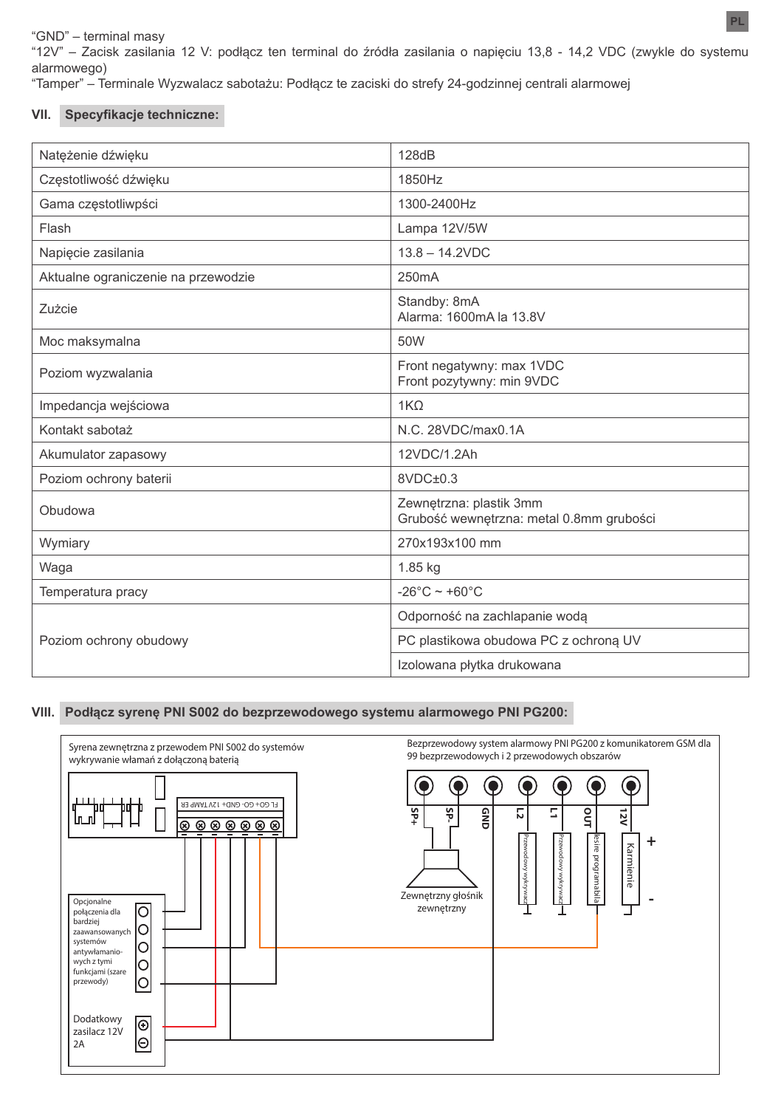"GND" – terminal masy

"12V" – Zacisk zasilania 12 V: podłącz ten terminal do źródła zasilania o napięciu 13,8 - 14,2 VDC (zwykle do systemu alarmowego)

"Tamper" – Terminale Wyzwalacz sabotażu: Podłącz te zaciski do strefy 24-godzinnej centrali alarmowej

# **VII. Specyfikacje techniczne:**

| Nateżenie dźwięku                   | 128dB                                                               |
|-------------------------------------|---------------------------------------------------------------------|
| Częstotliwość dźwięku               | 1850Hz                                                              |
| Gama częstotliwpści                 | 1300-2400Hz                                                         |
| Flash                               | Lampa 12V/5W                                                        |
| Napiecie zasilania                  | $13.8 - 14.2VDC$                                                    |
| Aktualne ograniczenie na przewodzie | 250 <sub>m</sub> A                                                  |
| Zużcie                              | Standby: 8mA<br>Alarma: 1600mA la 13.8V                             |
| Moc maksymalna                      | 50W                                                                 |
| Poziom wyzwalania                   | Front negatywny: max 1VDC<br>Front pozytywny: min 9VDC              |
| Impedancja wejściowa                | 1K <sub>0</sub>                                                     |
| Kontakt sabotaż                     | N.C. 28VDC/max0.1A                                                  |
| Akumulator zapasowy                 | 12VDC/1.2Ah                                                         |
| Poziom ochrony baterii              | 8VDC±0.3                                                            |
| Obudowa                             | Zewnętrzna: plastik 3mm<br>Grubość wewnętrzna: metal 0.8mm grubości |
| Wymiary                             | 270x193x100 mm                                                      |
| Waga                                | 1.85 kg                                                             |
| Temperatura pracy                   | $-26^{\circ}$ C ~ $+60^{\circ}$ C                                   |
| Poziom ochrony obudowy              | Odporność na zachlapanie woda                                       |
|                                     | PC plastikowa obudowa PC z ochroną UV                               |
|                                     | Izolowana płytka drukowana                                          |

#### **VIII. Podłącz syrenę PNI S002 do bezprzewodowego systemu alarmowego PNI PG200:**

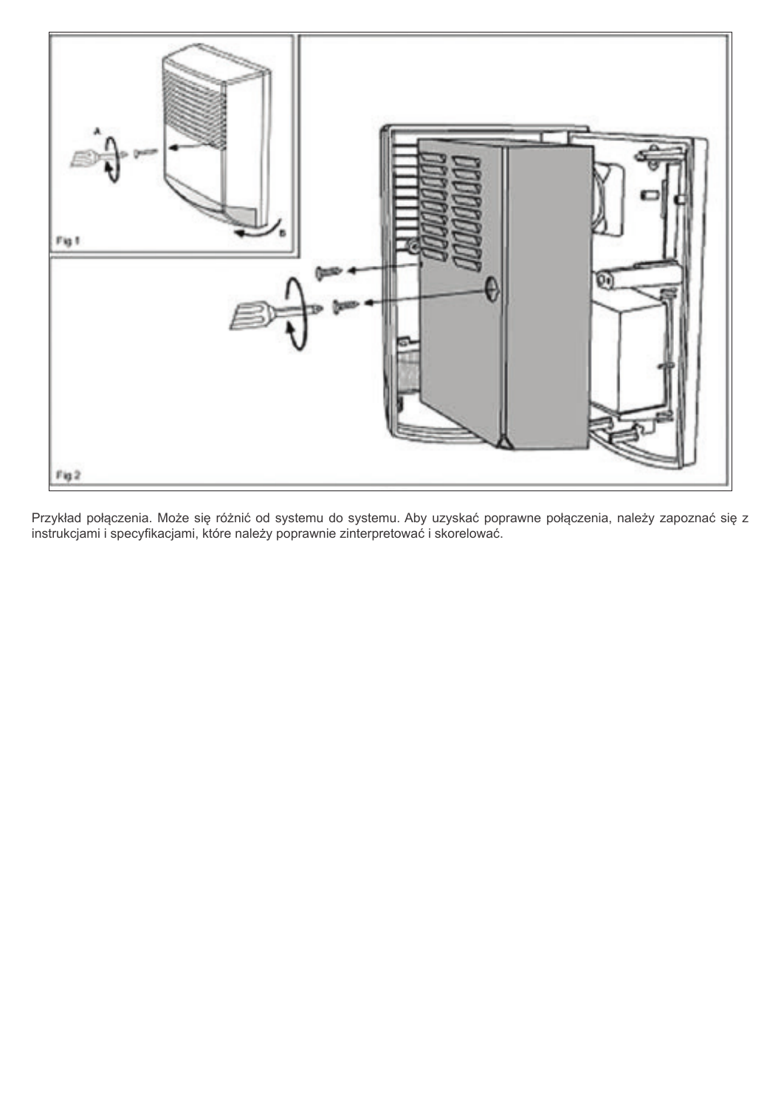

Przykład połączenia. Może się różnić od systemu do systemu. Aby uzyskać poprawne połączenia, należy zapoznać się z instrukcjami i specyfikacjami, które należy poprawnie zinterpretować i skorelować.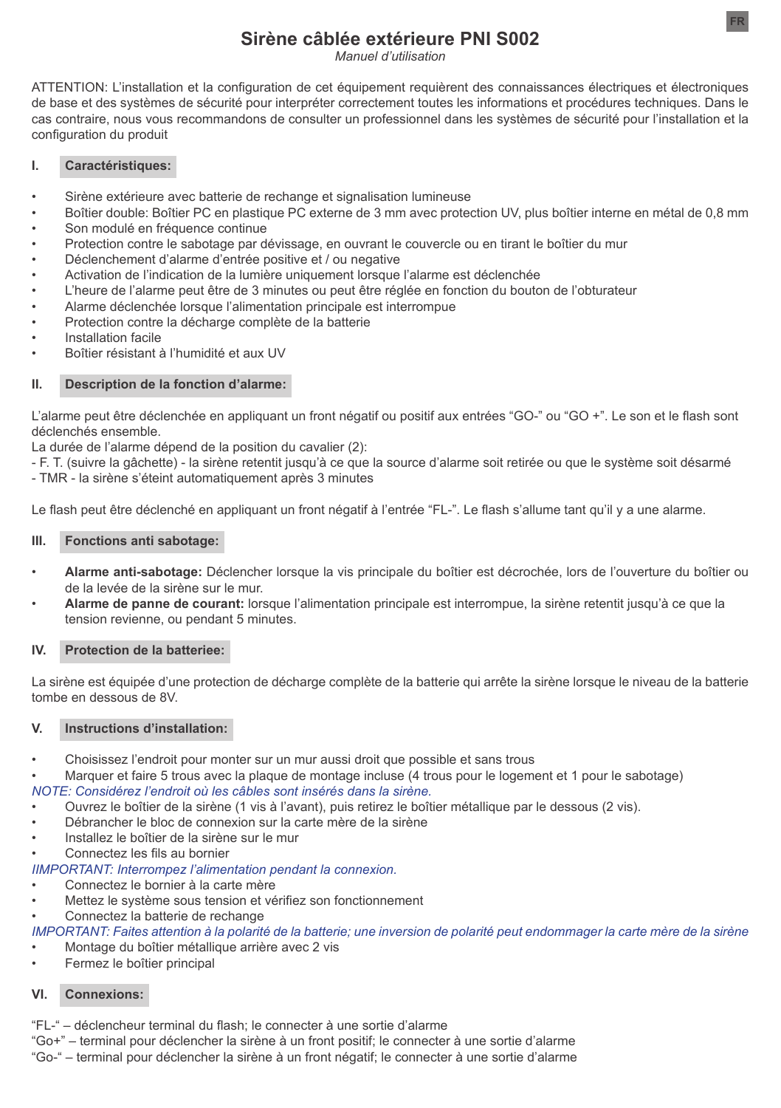# **Sirène câblée extérieure PNI S002**

*Manuel d'utilisation*

ATTENTION: L'installation et la configuration de cet équipement requièrent des connaissances électriques et électroniques de base et des systèmes de sécurité pour interpréter correctement toutes les informations et procédures techniques. Dans le cas contraire, nous vous recommandons de consulter un professionnel dans les systèmes de sécurité pour l'installation et la configuration du produit

#### **I. Caractéristiques:**

- Sirène extérieure avec batterie de rechange et signalisation lumineuse
- Boîtier double: Boîtier PC en plastique PC externe de 3 mm avec protection UV, plus boîtier interne en métal de 0,8 mm
- Son modulé en fréquence continue
- Protection contre le sabotage par dévissage, en ouvrant le couvercle ou en tirant le boîtier du mur
- Déclenchement d'alarme d'entrée positive et / ou negative
- Activation de l'indication de la lumière uniquement lorsque l'alarme est déclenchée
- L'heure de l'alarme peut être de 3 minutes ou peut être réglée en fonction du bouton de l'obturateur
- Alarme déclenchée lorsque l'alimentation principale est interrompue
- Protection contre la décharge complète de la batterie
- Installation facile
- Boîtier résistant à l'humidité et aux UV

## **II. Description de la fonction d'alarme:**

L'alarme peut être déclenchée en appliquant un front négatif ou positif aux entrées "GO-" ou "GO +". Le son et le flash sont déclenchés ensemble.

La durée de l'alarme dépend de la position du cavalier (2):

- F. T. (suivre la gâchette) - la sirène retentit jusqu'à ce que la source d'alarme soit retirée ou que le système soit désarmé - TMR - la sirène s'éteint automatiquement après 3 minutes

Le flash peut être déclenché en appliquant un front négatif à l'entrée "FL-". Le flash s'allume tant qu'il y a une alarme.

## **III. Fonctions anti sabotage:**

- **Alarme anti-sabotage:** Déclencher lorsque la vis principale du boîtier est décrochée, lors de l'ouverture du boîtier ou de la levée de la sirène sur le mur.
- **Alarme de panne de courant:** lorsque l'alimentation principale est interrompue, la sirène retentit jusqu'à ce que la tension revienne, ou pendant 5 minutes.

#### **IV. Protection de la batteriee:**

La sirène est équipée d'une protection de décharge complète de la batterie qui arrête la sirène lorsque le niveau de la batterie tombe en dessous de 8V.

#### **V. Instructions d'installation:**

- Choisissez l'endroit pour monter sur un mur aussi droit que possible et sans trous
- Marquer et faire 5 trous avec la plaque de montage incluse (4 trous pour le logement et 1 pour le sabotage) *NOTE: Considérez l'endroit où les câbles sont insérés dans la sirène.*
- Ouvrez le boîtier de la sirène (1 vis à l'avant), puis retirez le boîtier métallique par le dessous (2 vis).
- Débrancher le bloc de connexion sur la carte mère de la sirène
- Installez le boîtier de la sirène sur le mur
- Connectez les fils au bornier

# *IIMPORTANT: Interrompez l'alimentation pendant la connexion.*

- Connectez le bornier à la carte mère
- Mettez le système sous tension et vérifiez son fonctionnement
- Connectez la batterie de rechange

*IMPORTANT: Faites attention à la polarité de la batterie; une inversion de polarité peut endommager la carte mère de la sirène*

- Montage du boîtier métallique arrière avec 2 vis
- Fermez le boîtier principal

#### **VI. Connexions:**

- "FL-" déclencheur terminal du flash; le connecter à une sortie d'alarme
- "Go+" terminal pour déclencher la sirène à un front positif; le connecter à une sortie d'alarme
- "Go-" terminal pour déclencher la sirène à un front négatif; le connecter à une sortie d'alarme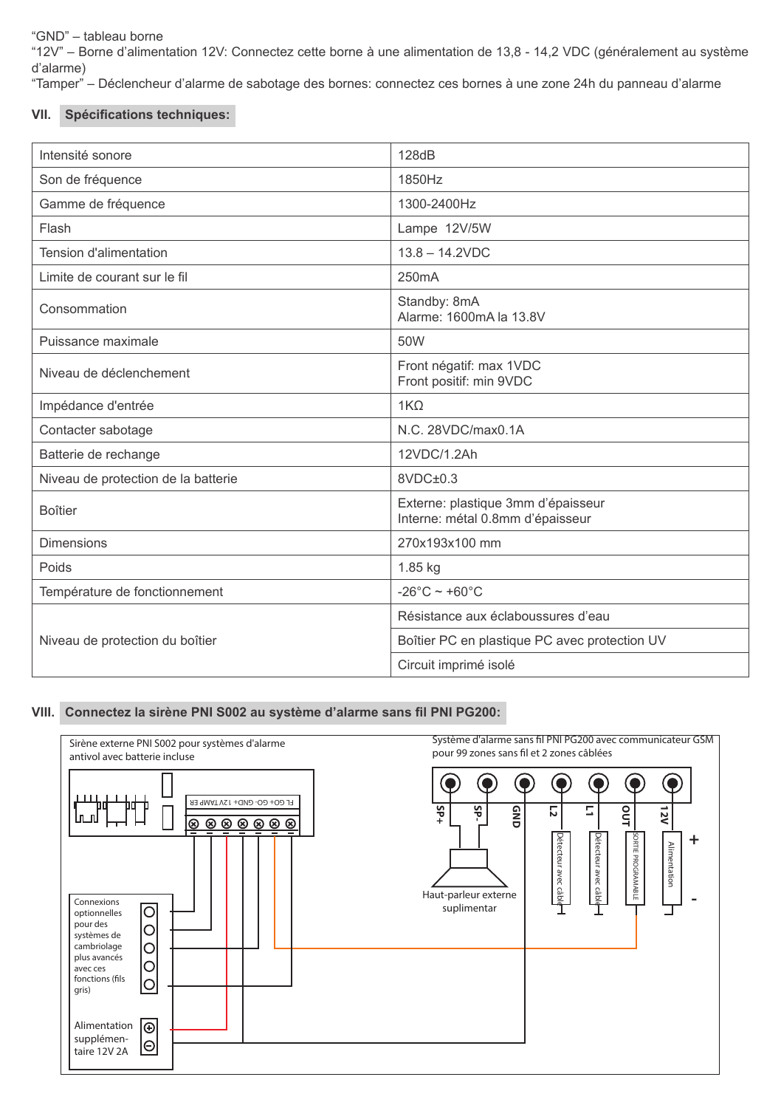"GND" – tableau borne

"12V" – Borne d'alimentation 12V: Connectez cette borne à une alimentation de 13,8 - 14,2 VDC (généralement au système d'alarme)

"Tamper" – Déclencheur d'alarme de sabotage des bornes: connectez ces bornes à une zone 24h du panneau d'alarme

# **VII. Spécifications techniques:**

| Intensité sonore                    | 128dB                                                                  |
|-------------------------------------|------------------------------------------------------------------------|
| Son de fréquence                    | 1850Hz                                                                 |
| Gamme de fréquence                  | 1300-2400Hz                                                            |
| Flash                               | Lampe 12V/5W                                                           |
| Tension d'alimentation              | $13.8 - 14.2VDC$                                                       |
| Limite de courant sur le fil        | 250 <sub>m</sub> A                                                     |
| Consommation                        | Standby: 8mA<br>Alarme: 1600mA la 13.8V                                |
| Puissance maximale                  | 50W                                                                    |
| Niveau de déclenchement             | Front négatif: max 1VDC<br>Front positif: min 9VDC                     |
| Impédance d'entrée                  | 1K <sub>Ω</sub>                                                        |
| Contacter sabotage                  | N.C. 28VDC/max0.1A                                                     |
| Batterie de rechange                | 12VDC/1.2Ah                                                            |
| Niveau de protection de la batterie | 8VDC <sub>±0.3</sub>                                                   |
| <b>Boîtier</b>                      | Externe: plastique 3mm d'épaisseur<br>Interne: métal 0.8mm d'épaisseur |
| <b>Dimensions</b>                   | 270x193x100 mm                                                         |
| Poids                               | 1.85 kg                                                                |
| Température de fonctionnement       | $-26^{\circ}$ C ~ $+60^{\circ}$ C                                      |
| Niveau de protection du boîtier     | Résistance aux éclaboussures d'eau                                     |
|                                     | Boîtier PC en plastique PC avec protection UV                          |
|                                     | Circuit imprimé isolé                                                  |

#### **VIII. Connectez la sirène PNI S002 au système d'alarme sans fil PNI PG200:**